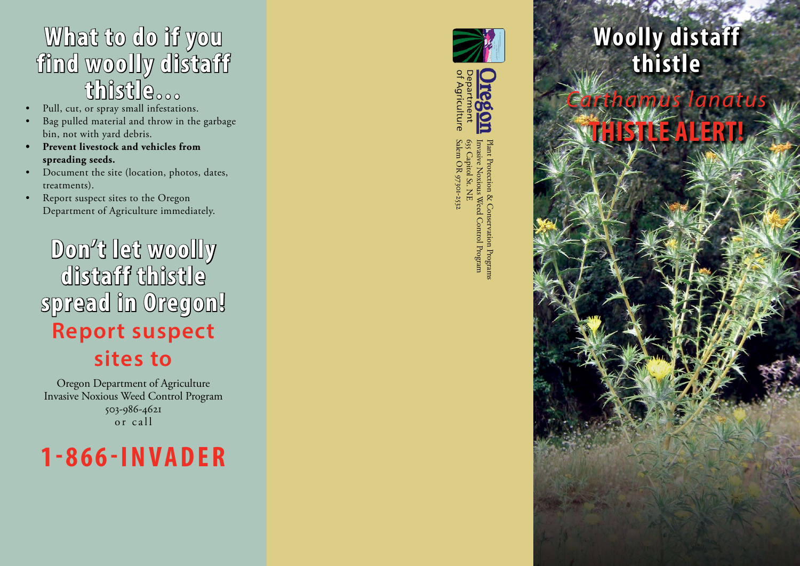#### **What to do if you find woolly distaff thistle…**

- Pull, cut, or spray small infestations.
- Bag pulled material and throw in the garbage bin, not with yard debris.
- **• Prevent livestock and vehicles from spreading seeds.**
- Document the site (location, photos, dates, treatments).
- Report suspect sites to the Oregon Department of Agriculture immediately.

**Don't let woolly distaff thistle spread in Oregon! Report suspect sites to**

Oregon Department of Agriculture Invasive Noxious Weed Control Program 503-986-4621 or call

### **1-866-INVADER**





Salem OR 97301-2532 635 Capitol St. NE Invasive Noxious Weed Control Program Plant Protection & Conservation Programs on Programs<br>l Program

### **Woolly distaff thistle**

*Carthamus lanatus*

**THE ALERT**